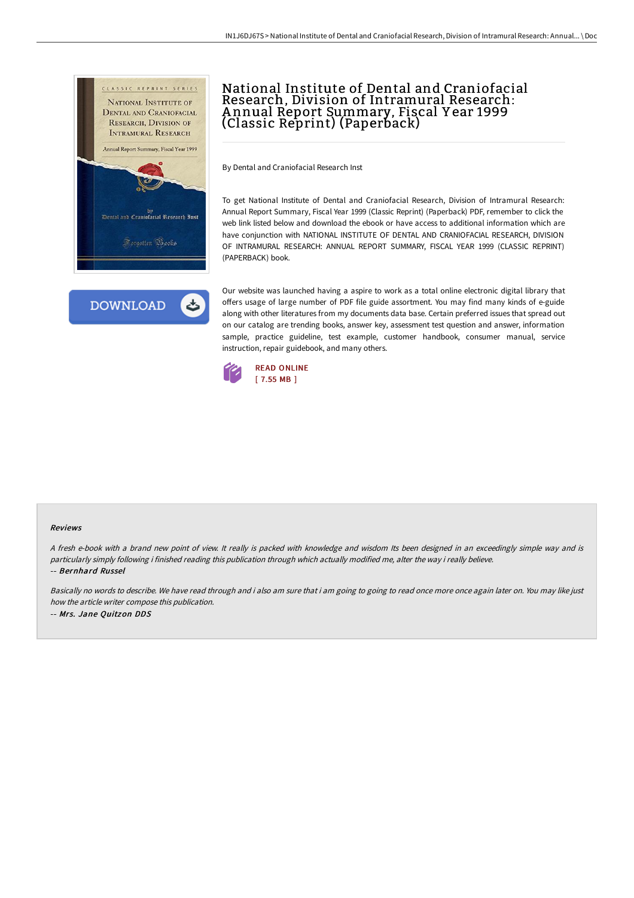



## National Institute of Dental and Craniofacial Research, Division of Intramural Research: A nnual Report Summary, Fiscal Y ear 1999 (Classic Reprint) (Paperback)

By Dental and Craniofacial Research Inst

To get National Institute of Dental and Craniofacial Research, Division of Intramural Research: Annual Report Summary, Fiscal Year 1999 (Classic Reprint) (Paperback) PDF, remember to click the web link listed below and download the ebook or have access to additional information which are have conjunction with NATIONAL INSTITUTE OF DENTAL AND CRANIOFACIAL RESEARCH, DIVISION OF INTRAMURAL RESEARCH: ANNUAL REPORT SUMMARY, FISCAL YEAR 1999 (CLASSIC REPRINT) (PAPERBACK) book.

Our website was launched having a aspire to work as a total online electronic digital library that offers usage of large number of PDF file guide assortment. You may find many kinds of e-guide along with other literatures from my documents data base. Certain preferred issues that spread out on our catalog are trending books, answer key, assessment test question and answer, information sample, practice guideline, test example, customer handbook, consumer manual, service instruction, repair guidebook, and many others.



## Reviews

<sup>A</sup> fresh e-book with <sup>a</sup> brand new point of view. It really is packed with knowledge and wisdom Its been designed in an exceedingly simple way and is particularly simply following i finished reading this publication through which actually modified me, alter the way i really believe. -- Bernhard Russel

Basically no words to describe. We have read through and i also am sure that i am going to going to read once more once again later on. You may like just how the article writer compose this publication. -- Mrs. Jane Quitzon DDS